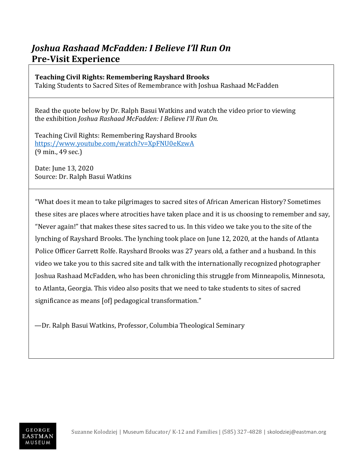## *Joshua Rashaad McFadden: I Believe I'll Run On* **Pre-Visit Experience**

## **Teaching Civil Rights: Remembering Rayshard Brooks**

Taking Students to Sacred Sites of Remembrance with Joshua Rashaad McFadden

 Read the quote below by Dr. Ralph Basui Watkins and watch the video prior to viewing the exhibition *Joshua Rashaad McFadden: I Believe I'll Run On.*

 Teaching Civil Rights: Remembering Rayshard Brooks <https://www.youtube.com/watch?v=XpFNU0eKzwA> (9 min., 49 sec.)

Date: June 13, 2020 Source: Dr. Ralph Basui Watkins

"What does it mean to take pilgrimages to sacred sites of African American History? Sometimes these sites are places where atrocities have taken place and it is us choosing to remember and say, "Never again!" that makes these sites sacred to us. In this video we take you to the site of the lynching of Rayshard Brooks. The lynching took place on June 12, 2020, at the hands of Atlanta Police Officer Garrett Rolfe. Rayshard Brooks was 27 years old, a father and a husband. In this video we take you to this sacred site and talk with the internationally recognized photographer Joshua Rashaad McFadden, who has been chronicling this struggle from Minneapolis, Minnesota, to Atlanta, Georgia. This video also posits that we need to take students to sites of sacred significance as means [of] pedagogical transformation."

—Dr. Ralph Basui Watkins, Professor, Columbia Theological Seminary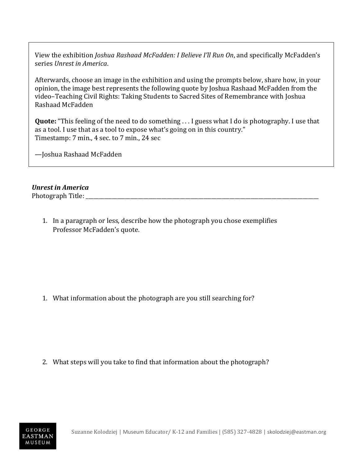View the exhibition *Joshua Rashaad McFadden: I Believe I'll Run On*, and specifically McFadden's series *Unrest in America*.

Afterwards, choose an image in the exhibition and using the prompts below, share how, in your opinion, the image best represents the following quote by Joshua Rashaad McFadden from the video–Teaching Civil Rights: Taking Students to Sacred Sites of Remembrance with Joshua Rashaad McFadden

**Quote:** "This feeling of the need to do something . . . I guess what I do is photography. I use that as a tool. I use that as a tool to expose what's going on in this country." Timestamp: 7 min., 4 sec. to 7 min., 24 sec

—Joshua Rashaad McFadden

## *Unrest in America*

Photograph Title:

1. In a paragraph or less, describe how the photograph you chose exemplifies Professor McFadden's quote.

1. What information about the photograph are you still searching for?

2. What steps will you take to find that information about the photograph?

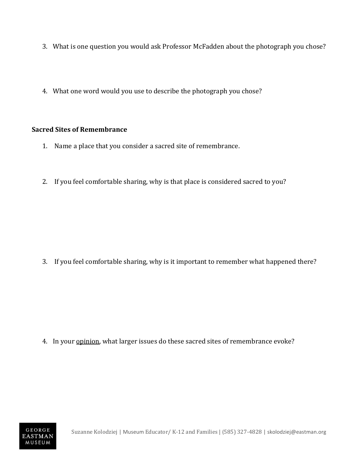- 3. What is one question you would ask Professor McFadden about the photograph you chose?
- 4. What one word would you use to describe the photograph you chose?

## **Sacred Sites of Remembrance**

- 1. Name a place that you consider a sacred site of remembrance.
- 2. If you feel comfortable sharing, why is that place is considered sacred to you?

3. If you feel comfortable sharing, why is it important to remember what happened there?

4. In your **opinion**, what larger issues do these sacred sites of remembrance evoke?